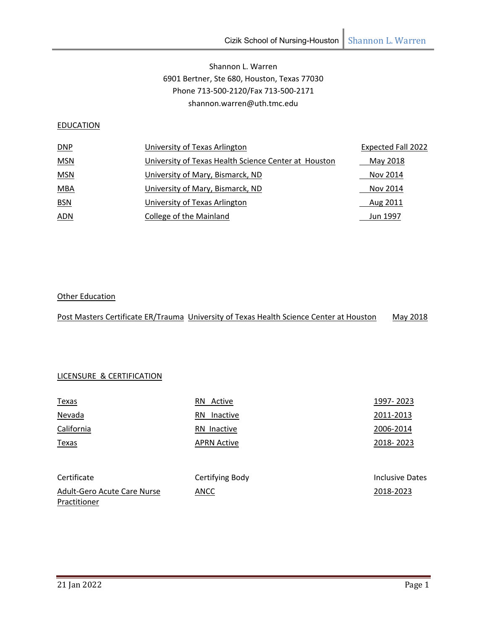# Shannon L. Warren 6901 Bertner, Ste 680, Houston, Texas 77030 Phone 713‐500‐2120/Fax 713‐500‐2171 shannon.warren@uth.tmc.edu

## **EDUCATION**

| DNP        | University of Texas Arlington                        | <b>Expected Fall 2022</b> |
|------------|------------------------------------------------------|---------------------------|
| <b>MSN</b> | University of Texas Health Science Center at Houston | May 2018                  |
| <b>MSN</b> | University of Mary, Bismarck, ND                     | Nov 2014                  |
| <b>MBA</b> | University of Mary, Bismarck, ND                     | Nov 2014                  |
| <b>BSN</b> | University of Texas Arlington                        | Aug 2011                  |
| <u>ADN</u> | College of the Mainland                              | Jun 1997                  |

### Other Education

|  | Post Masters Certificate ER/Trauma University of Texas Health Science Center at Houston | May 2018 |
|--|-----------------------------------------------------------------------------------------|----------|
|--|-----------------------------------------------------------------------------------------|----------|

## LICENSURE & CERTIFICATION

| <b>Texas</b>                | RN Active          | 1997-2023              |
|-----------------------------|--------------------|------------------------|
| Nevada                      | Inactive<br>RN     | 2011-2013              |
| California                  | RN Inactive        | 2006-2014              |
| Texas                       | <b>APRN Active</b> | 2018-2023              |
|                             |                    |                        |
| Certificate                 | Certifying Body    | <b>Inclusive Dates</b> |
| Adult-Gero Acute Care Nurse | <b>ANCC</b>        | 2018-2023              |
| Practitioner                |                    |                        |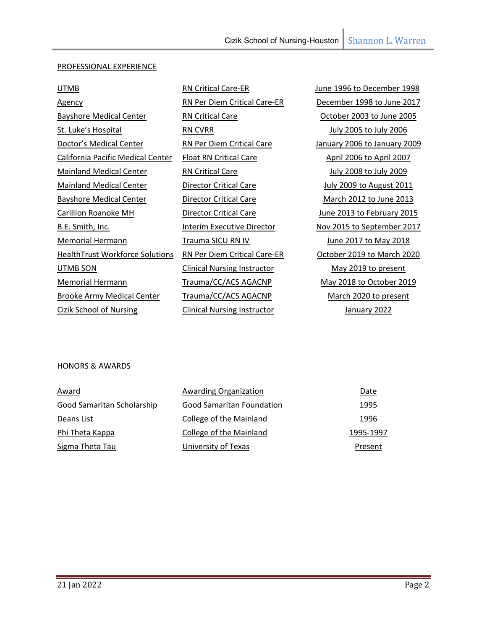## PROFESSIONAL EXPERIENCE

| <b>UTMB</b>                              | <b>RN Critical Care-ER</b>         | June 1996 to December 1998      |
|------------------------------------------|------------------------------------|---------------------------------|
| <u>Agency</u>                            | RN Per Diem Critical Care-ER       | December 1998 to June 2017      |
| <b>Bayshore Medical Center</b>           | <b>RN Critical Care</b>            | October 2003 to June 2005       |
| St. Luke's Hospital                      | <b>RN CVRR</b>                     | <b>July 2005 to July 2006</b>   |
| Doctor's Medical Center                  | RN Per Diem Critical Care          | January 2006 to January 2009    |
| <b>California Pacific Medical Center</b> | <b>Float RN Critical Care</b>      | April 2006 to April 2007        |
| <b>Mainland Medical Center</b>           | <b>RN Critical Care</b>            | July 2008 to July 2009          |
| <b>Mainland Medical Center</b>           | <b>Director Critical Care</b>      | <b>July 2009 to August 2011</b> |
| <b>Bayshore Medical Center</b>           | <b>Director Critical Care</b>      | March 2012 to June 2013         |
| Carillion Roanoke MH                     | <b>Director Critical Care</b>      | June 2013 to February 2015      |
| B.E. Smith, Inc.                         | Interim Executive Director         | Nov 2015 to September 2017      |
| Memorial Hermann                         | Trauma SICU RN IV                  | June 2017 to May 2018           |
| <b>HealthTrust Workforce Solutions</b>   | RN Per Diem Critical Care-ER       | October 2019 to March 2020      |
| UTMB SON                                 | <b>Clinical Nursing Instructor</b> | May 2019 to present             |
| Memorial Hermann                         | Trauma/CC/ACS AGACNP               | May 2018 to October 2019        |
| <b>Brooke Army Medical Center</b>        | Trauma/CC/ACS AGACNP               | March 2020 to present           |
| Cizik School of Nursing                  | <b>Clinical Nursing Instructor</b> | January 2022                    |
|                                          |                                    |                                 |

### HONORS & AWARDS

| Award                      | Awarding Organization            | Date      |
|----------------------------|----------------------------------|-----------|
| Good Samaritan Scholarship | <b>Good Samaritan Foundation</b> | 1995      |
| Deans List                 | College of the Mainland          | 1996      |
| Phi Theta Kappa            | College of the Mainland          | 1995-1997 |
| Sigma Theta Tau            | University of Texas              | Present   |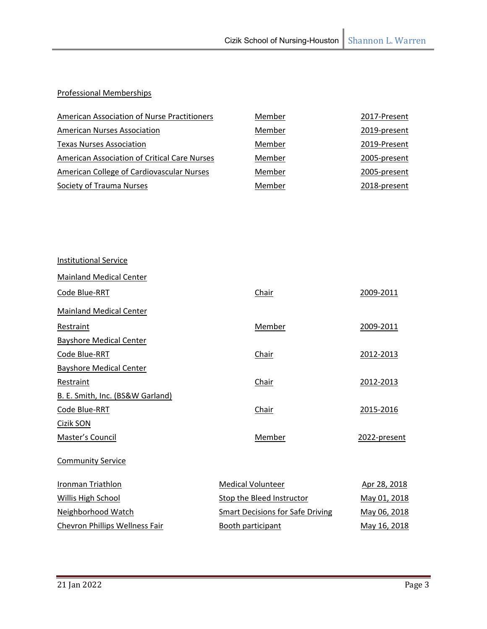# Professional Memberships

| American Association of Nurse Practitioners         | Member | 2017-Present |
|-----------------------------------------------------|--------|--------------|
| <b>American Nurses Association</b>                  | Member | 2019-present |
| <b>Texas Nurses Association</b>                     | Member | 2019-Present |
| <b>American Association of Critical Care Nurses</b> | Member | 2005-present |
| American College of Cardiovascular Nurses           | Member | 2005-present |
| Society of Trauma Nurses                            | Member | 2018-present |

| <b>Institutional Service</b>     |                                         |              |
|----------------------------------|-----------------------------------------|--------------|
| <b>Mainland Medical Center</b>   |                                         |              |
| Code Blue-RRT                    | Chair                                   | 2009-2011    |
| <b>Mainland Medical Center</b>   |                                         |              |
| Restraint                        | Member                                  | 2009-2011    |
| <b>Bayshore Medical Center</b>   |                                         |              |
| Code Blue-RRT                    | Chair                                   | 2012-2013    |
| <b>Bayshore Medical Center</b>   |                                         |              |
| Restraint                        | Chair                                   | 2012-2013    |
| B. E. Smith, Inc. (BS&W Garland) |                                         |              |
| Code Blue-RRT                    | Chair                                   | 2015-2016    |
| Cizik SON                        |                                         |              |
| Master's Council                 | Member                                  | 2022-present |
| <b>Community Service</b>         |                                         |              |
| Ironman Triathlon                | <b>Medical Volunteer</b>                | Apr 28, 2018 |
| <b>Willis High School</b>        | Stop the Bleed Instructor               | May 01, 2018 |
| Neighborhood Watch               | <b>Smart Decisions for Safe Driving</b> | May 06, 2018 |
| Chevron Phillips Wellness Fair   | Booth participant                       | May 16, 2018 |